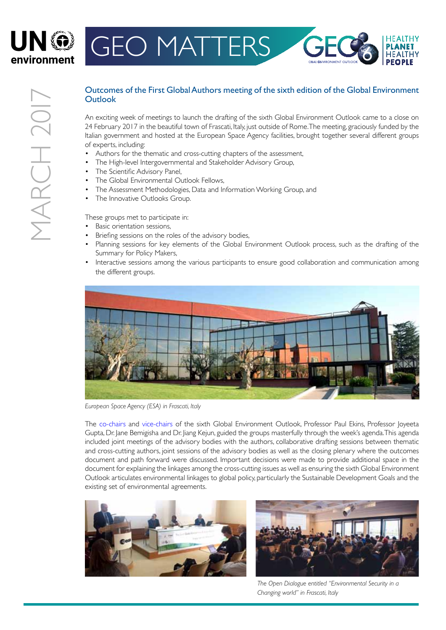

## GEO MATTERS

## Outcomes of the First Global Authors meeting of the sixth edition of the Global Environment **Outlook**

An exciting week of meetings to launch the drafting of the sixth Global Environment Outlook came to a close on 24 February 2017 in the beautiful town of Frascati, Italy, just outside of Rome. The meeting, graciously funded by the Italian government and hosted at the European Space Agency facilities, brought together several different groups of experts, including:

- Authors for the thematic and cross-cutting chapters of the assessment,
- The High-level Intergovernmental and Stakeholder Advisory Group,
- The Scientific Advisory Panel,
- The Global Environmental Outlook Fellows,
- The Assessment Methodologies, Data and Information Working Group, and
- The Innovative Outlooks Group.

These groups met to participate in:

- Basic orientation sessions,
- Briefing sessions on the roles of the advisory bodies,
- Planning sessions for key elements of the Global Environment Outlook process, such as the drafting of the Summary for Policy Makers,
- Interactive sessions among the various participants to ensure good collaboration and communication among the different groups.



*European Space Agency (ESA) in Frascati, Italy*

The [c](http://wedocs.unep.org/bitstream/handle/20.500.11822/17310/geo-6_matters_november_2016.pdf?sequence=1&isAllowed=y)[o-chairs](http://drustage.unep.org/geo/sites/unep.org.geo/files/documents/geo-6_matters_november_2016.pdf) and [v](http://wedocs.unep.org/bitstream/handle/20.500.11822/14882/GEO-6%20Matters%20February%202017.pdf?sequence=1&isAllowed=y)[ice-chairs](http://wedocs.unep.org/bitstream/handle/20.500.11822/14882/GEO-6%20Matters%20February%202017.pdf?sequence=1&isAllowed=yhttp://wedocs.unep.org/bitstream/handle/20.500.11822/14882/GEO-6%20Matters%20February%202017.pdf?sequence=1&isAllowed=y) of the sixth Global Environment Outlook, Professor Paul Ekins, Professor Joyeeta Gupta, Dr. Jane Bemigisha and Dr. Jiang Kejun, guided the groups masterfully through the week's agenda.This agenda included joint meetings of the advisory bodies with the authors, collaborative drafting sessions between thematic and cross-cutting authors, joint sessions of the advisory bodies as well as the closing plenary where the outcomes document and path forward were discussed. Important decisions were made to provide additional space in the document for explaining the linkages among the cross-cutting issues as well as ensuring the sixth Global Environment Outlook articulates environmental linkages to global policy, particularly the Sustainable Development Goals and the existing set of environmental agreements.





*The Open Dialogue entitled "Environmental Security in a Changing world" in Frascati, Italy*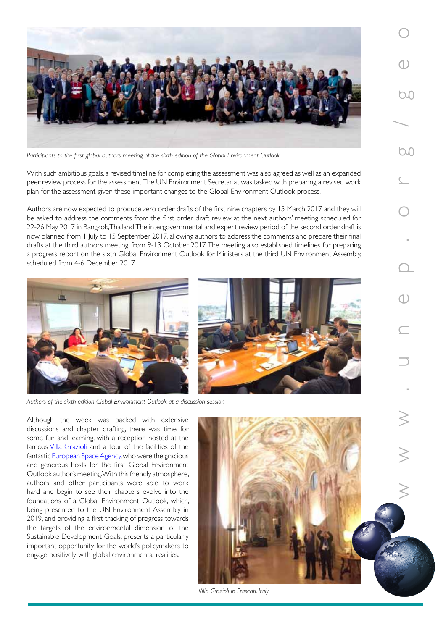

*Participants to the first global authors meeting of the sixth edition of the Global Environment Outlook*

With such ambitious goals, a revised timeline for completing the assessment was also agreed as well as an expanded peer review process for the assessment. The UN Environment Secretariat was tasked with preparing a revised work plan for the assessment given these important changes to the Global Environment Outlook process.

Authors are now expected to produce zero order drafts of the first nine chapters by 15 March 2017 and they will be asked to address the comments from the first order draft review at the next authors' meeting scheduled for 22-26 May 2017 in Bangkok, Thailand. The intergovernmental and expert review period of the second order draft is now planned from 1 July to 15 September 2017, allowing authors to address the comments and prepare their final drafts at the third authors meeting, from 9-13 October 2017.The meeting also established timelines for preparing a progress report on the sixth Global Environment Outlook for Ministers at the third UN Environment Assembly, scheduled from 4-6 December 2017.





Although the week was packed with extensive discussions and chapter drafting, there was time for some fun and learning, with a reception hosted at the famou[s Villa Grazioli](http://www.villagrazioli.com/en/history) and a tour of the facilities of the fantasti[c European Space Agency, w](http://www.esa.int/About_Us/ESRIN/ESRIN_overview)ho were the gracious and generous hosts for the first Global Environment Outlook author's meeting. With this friendly atmosphere, authors and other participants were able to work hard and begin to see their chapters evolve into the foundations of a Global Environment Outlook, which, being presented to the UN Environment Assembly in 2019, and providing a first tracking of progress towards the targets of the environmental dimension of the Sustainable Development Goals, presents a particularly important opportunity for the world's policymakers to engage positively with global environmental realities.



*Villa Grazioli in Frascati, Italy*